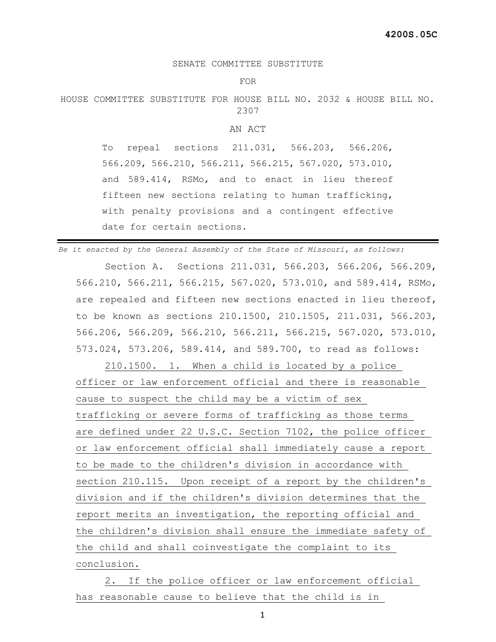## SENATE COMMITTEE SUBSTITUTE

FOR

HOUSE COMMITTEE SUBSTITUTE FOR HOUSE BILL NO. 2032 & HOUSE BILL NO. 2307

## AN ACT

To repeal sections 211.031, 566.203, 566.206, 566.209, 566.210, 566.211, 566.215, 567.020, 573.010, and 589.414, RSMo, and to enact in lieu thereof fifteen new sections relating to human trafficking, with penalty provisions and a contingent effective date for certain sections.

*Be it enacted by the General Assembly of the State of Missouri, as follows:*

 Section A. Sections 211.031, 566.203, 566.206, 566.209, 566.210, 566.211, 566.215, 567.020, 573.010, and 589.414, RSMo, are repealed and fifteen new sections enacted in lieu thereof, to be known as sections 210.1500, 210.1505, 211.031, 566.203, 566.206, 566.209, 566.210, 566.211, 566.215, 567.020, 573.010, 573.024, 573.206, 589.414, and 589.700, to read as follows:

 210.1500. 1. When a child is located by a police officer or law enforcement official and there is reasonable cause to suspect the child may be a victim of sex trafficking or severe forms of trafficking as those terms are defined under 22 U.S.C. Section 7102, the police officer or law enforcement official shall immediately cause a report to be made to the children's division in accordance with section 210.115. Upon receipt of a report by the children's division and if the children's division determines that the report merits an investigation, the reporting official and the children's division shall ensure the immediate safety of the child and shall coinvestigate the complaint to its conclusion.

 2. If the police officer or law enforcement official has reasonable cause to believe that the child is in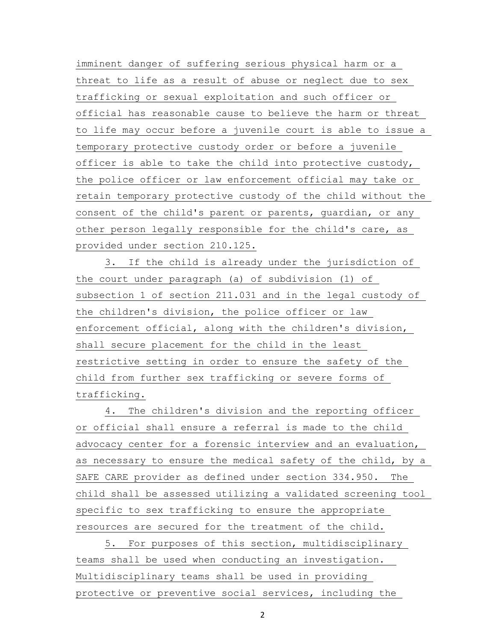imminent danger of suffering serious physical harm or a threat to life as a result of abuse or neglect due to sex trafficking or sexual exploitation and such officer or official has reasonable cause to believe the harm or threat to life may occur before a juvenile court is able to issue a temporary protective custody order or before a juvenile officer is able to take the child into protective custody, the police officer or law enforcement official may take or retain temporary protective custody of the child without the consent of the child's parent or parents, guardian, or any other person legally responsible for the child's care, as provided under section 210.125.

 3. If the child is already under the jurisdiction of the court under paragraph (a) of subdivision (1) of subsection 1 of section 211.031 and in the legal custody of the children's division, the police officer or law enforcement official, along with the children's division, shall secure placement for the child in the least restrictive setting in order to ensure the safety of the child from further sex trafficking or severe forms of trafficking.

 4. The children's division and the reporting officer or official shall ensure a referral is made to the child advocacy center for a forensic interview and an evaluation, as necessary to ensure the medical safety of the child, by a SAFE CARE provider as defined under section 334.950. The child shall be assessed utilizing a validated screening tool specific to sex trafficking to ensure the appropriate resources are secured for the treatment of the child.

 5. For purposes of this section, multidisciplinary teams shall be used when conducting an investigation. Multidisciplinary teams shall be used in providing protective or preventive social services, including the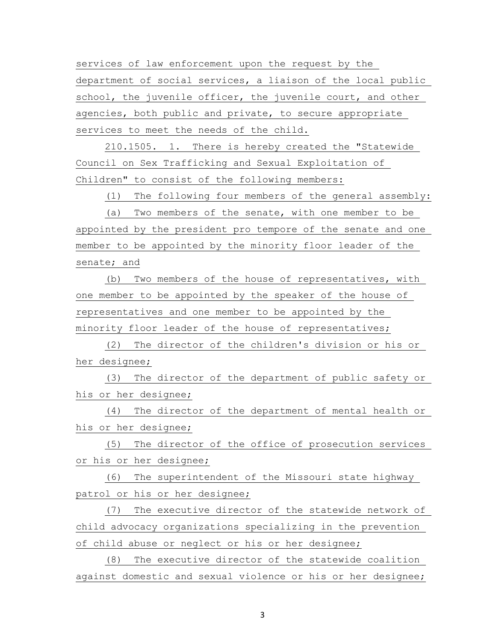services of law enforcement upon the request by the department of social services, a liaison of the local public school, the juvenile officer, the juvenile court, and other agencies, both public and private, to secure appropriate services to meet the needs of the child.

 210.1505. 1. There is hereby created the "Statewide Council on Sex Trafficking and Sexual Exploitation of Children" to consist of the following members:

(1) The following four members of the general assembly:

 (a) Two members of the senate, with one member to be appointed by the president pro tempore of the senate and one member to be appointed by the minority floor leader of the senate; and

 (b) Two members of the house of representatives, with one member to be appointed by the speaker of the house of representatives and one member to be appointed by the minority floor leader of the house of representatives;

 (2) The director of the children's division or his or her designee;

 (3) The director of the department of public safety or his or her designee;

 (4) The director of the department of mental health or his or her designee;

 (5) The director of the office of prosecution services or his or her designee;

 (6) The superintendent of the Missouri state highway patrol or his or her designee;

 (7) The executive director of the statewide network of child advocacy organizations specializing in the prevention of child abuse or neglect or his or her designee;

 (8) The executive director of the statewide coalition against domestic and sexual violence or his or her designee;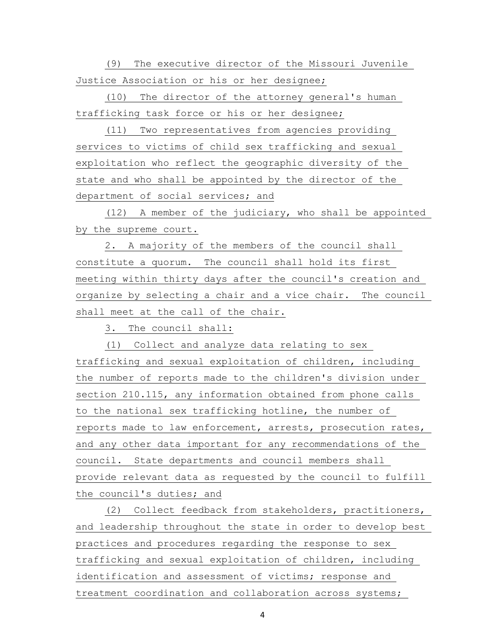(9) The executive director of the Missouri Juvenile Justice Association or his or her designee;

 (10) The director of the attorney general's human trafficking task force or his or her designee;

 (11) Two representatives from agencies providing services to victims of child sex trafficking and sexual exploitation who reflect the geographic diversity of the state and who shall be appointed by the director of the department of social services; and

 (12) A member of the judiciary, who shall be appointed by the supreme court.

 2. A majority of the members of the council shall constitute a quorum. The council shall hold its first meeting within thirty days after the council's creation and organize by selecting a chair and a vice chair. The council shall meet at the call of the chair.

3. The council shall:

 (1) Collect and analyze data relating to sex trafficking and sexual exploitation of children, including the number of reports made to the children's division under section 210.115, any information obtained from phone calls to the national sex trafficking hotline, the number of reports made to law enforcement, arrests, prosecution rates, and any other data important for any recommendations of the council. State departments and council members shall provide relevant data as requested by the council to fulfill the council's duties; and

 (2) Collect feedback from stakeholders, practitioners, and leadership throughout the state in order to develop best practices and procedures regarding the response to sex trafficking and sexual exploitation of children, including identification and assessment of victims; response and treatment coordination and collaboration across systems;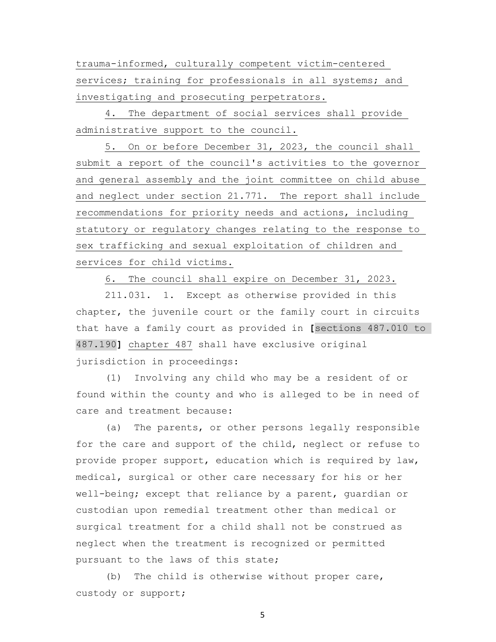trauma-informed, culturally competent victim-centered services; training for professionals in all systems; and investigating and prosecuting perpetrators.

 4. The department of social services shall provide administrative support to the council.

 5. On or before December 31, 2023, the council shall submit a report of the council's activities to the governor and general assembly and the joint committee on child abuse and neglect under section 21.771. The report shall include recommendations for priority needs and actions, including statutory or regulatory changes relating to the response to sex trafficking and sexual exploitation of children and services for child victims.

6. The council shall expire on December 31, 2023.

 211.031. 1. Except as otherwise provided in this chapter, the juvenile court or the family court in circuits that have a family court as provided in **[**sections 487.010 to 487.190**]** chapter 487 shall have exclusive original jurisdiction in proceedings:

 (1) Involving any child who may be a resident of or found within the county and who is alleged to be in need of care and treatment because:

 (a) The parents, or other persons legally responsible for the care and support of the child, neglect or refuse to provide proper support, education which is required by law, medical, surgical or other care necessary for his or her well-being; except that reliance by a parent, guardian or custodian upon remedial treatment other than medical or surgical treatment for a child shall not be construed as neglect when the treatment is recognized or permitted pursuant to the laws of this state;

 (b) The child is otherwise without proper care, custody or support;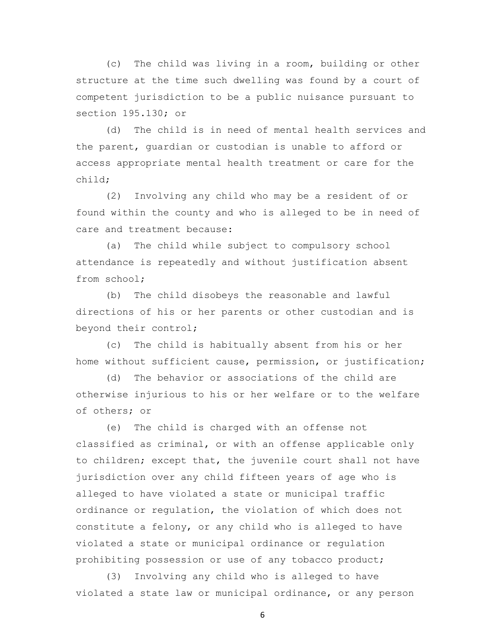(c) The child was living in a room, building or other structure at the time such dwelling was found by a court of competent jurisdiction to be a public nuisance pursuant to section 195.130; or

 (d) The child is in need of mental health services and the parent, guardian or custodian is unable to afford or access appropriate mental health treatment or care for the child;

 (2) Involving any child who may be a resident of or found within the county and who is alleged to be in need of care and treatment because:

 (a) The child while subject to compulsory school attendance is repeatedly and without justification absent from school;

 (b) The child disobeys the reasonable and lawful directions of his or her parents or other custodian and is beyond their control;

 (c) The child is habitually absent from his or her home without sufficient cause, permission, or justification;

 (d) The behavior or associations of the child are otherwise injurious to his or her welfare or to the welfare of others; or

 (e) The child is charged with an offense not classified as criminal, or with an offense applicable only to children; except that, the juvenile court shall not have jurisdiction over any child fifteen years of age who is alleged to have violated a state or municipal traffic ordinance or regulation, the violation of which does not constitute a felony, or any child who is alleged to have violated a state or municipal ordinance or regulation prohibiting possession or use of any tobacco product;

 (3) Involving any child who is alleged to have violated a state law or municipal ordinance, or any person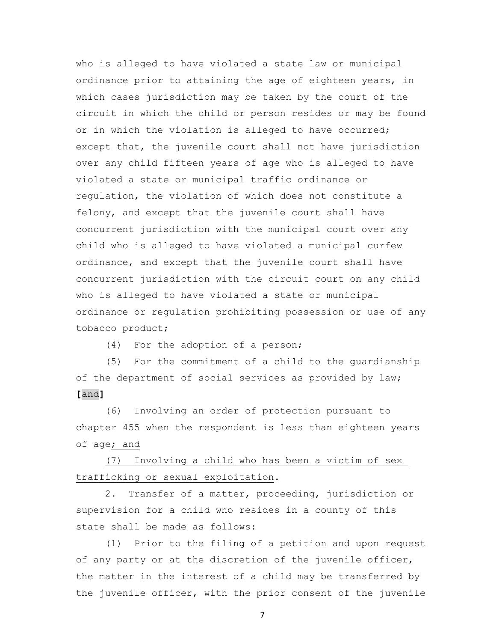who is alleged to have violated a state law or municipal ordinance prior to attaining the age of eighteen years, in which cases jurisdiction may be taken by the court of the circuit in which the child or person resides or may be found or in which the violation is alleged to have occurred; except that, the juvenile court shall not have jurisdiction over any child fifteen years of age who is alleged to have violated a state or municipal traffic ordinance or regulation, the violation of which does not constitute a felony, and except that the juvenile court shall have concurrent jurisdiction with the municipal court over any child who is alleged to have violated a municipal curfew ordinance, and except that the juvenile court shall have concurrent jurisdiction with the circuit court on any child who is alleged to have violated a state or municipal ordinance or regulation prohibiting possession or use of any tobacco product;

(4) For the adoption of a person;

 (5) For the commitment of a child to the guardianship of the department of social services as provided by law; **[**and**]**

 (6) Involving an order of protection pursuant to chapter 455 when the respondent is less than eighteen years of age; and

 (7) Involving a child who has been a victim of sex trafficking or sexual exploitation.

 2. Transfer of a matter, proceeding, jurisdiction or supervision for a child who resides in a county of this state shall be made as follows:

 (1) Prior to the filing of a petition and upon request of any party or at the discretion of the juvenile officer, the matter in the interest of a child may be transferred by the juvenile officer, with the prior consent of the juvenile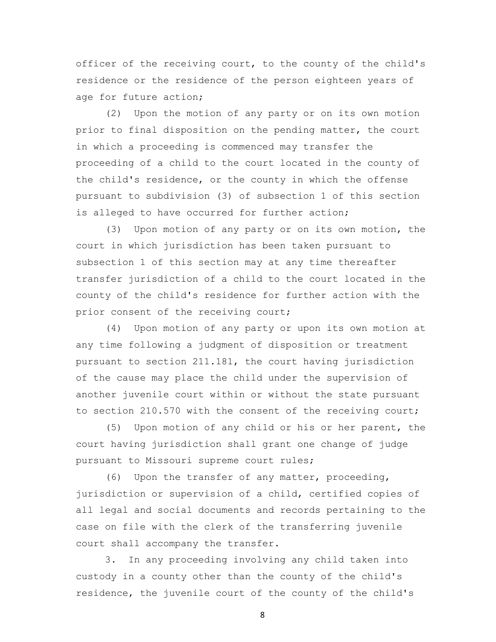officer of the receiving court, to the county of the child's residence or the residence of the person eighteen years of age for future action;

 (2) Upon the motion of any party or on its own motion prior to final disposition on the pending matter, the court in which a proceeding is commenced may transfer the proceeding of a child to the court located in the county of the child's residence, or the county in which the offense pursuant to subdivision (3) of subsection 1 of this section is alleged to have occurred for further action;

 (3) Upon motion of any party or on its own motion, the court in which jurisdiction has been taken pursuant to subsection 1 of this section may at any time thereafter transfer jurisdiction of a child to the court located in the county of the child's residence for further action with the prior consent of the receiving court;

 (4) Upon motion of any party or upon its own motion at any time following a judgment of disposition or treatment pursuant to section 211.181, the court having jurisdiction of the cause may place the child under the supervision of another juvenile court within or without the state pursuant to section 210.570 with the consent of the receiving court;

 (5) Upon motion of any child or his or her parent, the court having jurisdiction shall grant one change of judge pursuant to Missouri supreme court rules;

 (6) Upon the transfer of any matter, proceeding, jurisdiction or supervision of a child, certified copies of all legal and social documents and records pertaining to the case on file with the clerk of the transferring juvenile court shall accompany the transfer.

 3. In any proceeding involving any child taken into custody in a county other than the county of the child's residence, the juvenile court of the county of the child's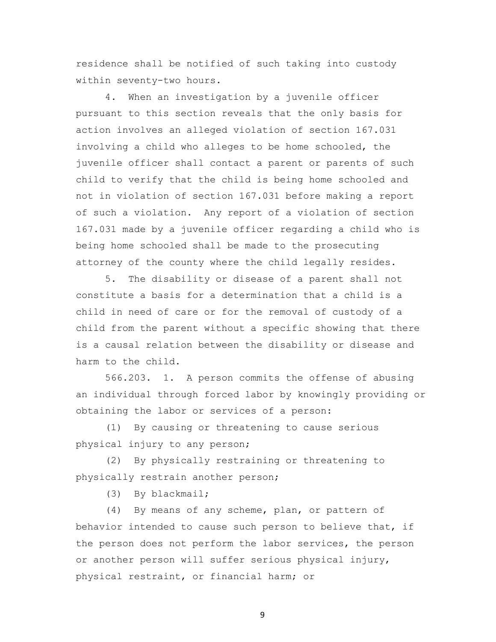residence shall be notified of such taking into custody within seventy-two hours.

 4. When an investigation by a juvenile officer pursuant to this section reveals that the only basis for action involves an alleged violation of section 167.031 involving a child who alleges to be home schooled, the juvenile officer shall contact a parent or parents of such child to verify that the child is being home schooled and not in violation of section 167.031 before making a report of such a violation. Any report of a violation of section 167.031 made by a juvenile officer regarding a child who is being home schooled shall be made to the prosecuting attorney of the county where the child legally resides.

 5. The disability or disease of a parent shall not constitute a basis for a determination that a child is a child in need of care or for the removal of custody of a child from the parent without a specific showing that there is a causal relation between the disability or disease and harm to the child.

 566.203. 1. A person commits the offense of abusing an individual through forced labor by knowingly providing or obtaining the labor or services of a person:

 (1) By causing or threatening to cause serious physical injury to any person;

 (2) By physically restraining or threatening to physically restrain another person;

(3) By blackmail;

 (4) By means of any scheme, plan, or pattern of behavior intended to cause such person to believe that, if the person does not perform the labor services, the person or another person will suffer serious physical injury, physical restraint, or financial harm; or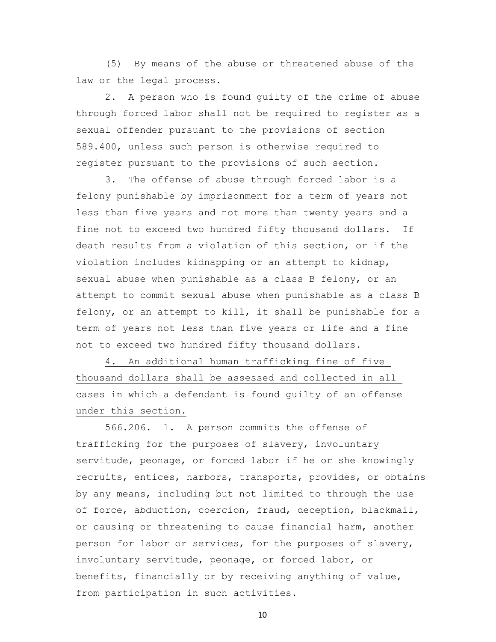(5) By means of the abuse or threatened abuse of the law or the legal process.

 2. A person who is found guilty of the crime of abuse through forced labor shall not be required to register as a sexual offender pursuant to the provisions of section 589.400, unless such person is otherwise required to register pursuant to the provisions of such section.

 3. The offense of abuse through forced labor is a felony punishable by imprisonment for a term of years not less than five years and not more than twenty years and a fine not to exceed two hundred fifty thousand dollars. If death results from a violation of this section, or if the violation includes kidnapping or an attempt to kidnap, sexual abuse when punishable as a class B felony, or an attempt to commit sexual abuse when punishable as a class B felony, or an attempt to kill, it shall be punishable for a term of years not less than five years or life and a fine not to exceed two hundred fifty thousand dollars.

 4. An additional human trafficking fine of five thousand dollars shall be assessed and collected in all cases in which a defendant is found guilty of an offense under this section.

 566.206. 1. A person commits the offense of trafficking for the purposes of slavery, involuntary servitude, peonage, or forced labor if he or she knowingly recruits, entices, harbors, transports, provides, or obtains by any means, including but not limited to through the use of force, abduction, coercion, fraud, deception, blackmail, or causing or threatening to cause financial harm, another person for labor or services, for the purposes of slavery, involuntary servitude, peonage, or forced labor, or benefits, financially or by receiving anything of value, from participation in such activities.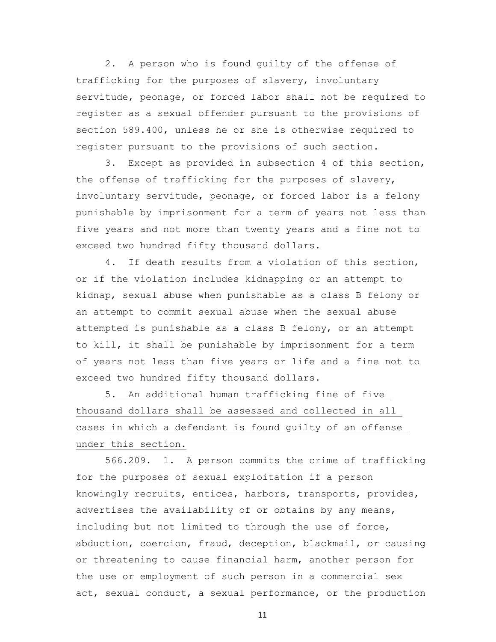2. A person who is found guilty of the offense of trafficking for the purposes of slavery, involuntary servitude, peonage, or forced labor shall not be required to register as a sexual offender pursuant to the provisions of section 589.400, unless he or she is otherwise required to register pursuant to the provisions of such section.

 3. Except as provided in subsection 4 of this section, the offense of trafficking for the purposes of slavery, involuntary servitude, peonage, or forced labor is a felony punishable by imprisonment for a term of years not less than five years and not more than twenty years and a fine not to exceed two hundred fifty thousand dollars.

 4. If death results from a violation of this section, or if the violation includes kidnapping or an attempt to kidnap, sexual abuse when punishable as a class B felony or an attempt to commit sexual abuse when the sexual abuse attempted is punishable as a class B felony, or an attempt to kill, it shall be punishable by imprisonment for a term of years not less than five years or life and a fine not to exceed two hundred fifty thousand dollars.

 5. An additional human trafficking fine of five thousand dollars shall be assessed and collected in all cases in which a defendant is found guilty of an offense under this section.

 566.209. 1. A person commits the crime of trafficking for the purposes of sexual exploitation if a person knowingly recruits, entices, harbors, transports, provides, advertises the availability of or obtains by any means, including but not limited to through the use of force, abduction, coercion, fraud, deception, blackmail, or causing or threatening to cause financial harm, another person for the use or employment of such person in a commercial sex act, sexual conduct, a sexual performance, or the production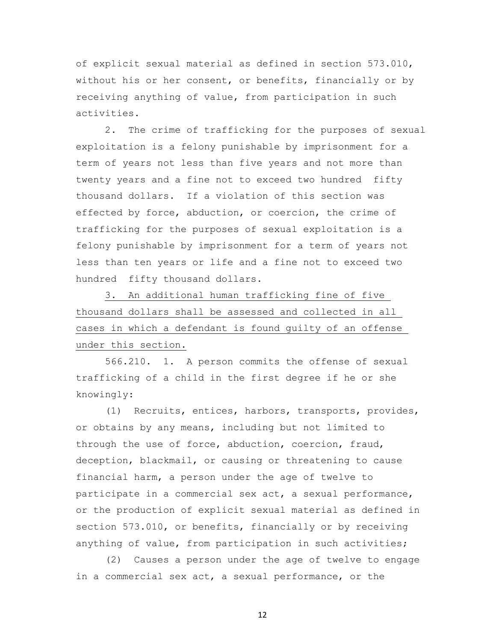of explicit sexual material as defined in section 573.010, without his or her consent, or benefits, financially or by receiving anything of value, from participation in such activities.

 2. The crime of trafficking for the purposes of sexual exploitation is a felony punishable by imprisonment for a term of years not less than five years and not more than twenty years and a fine not to exceed two hundred fifty thousand dollars. If a violation of this section was effected by force, abduction, or coercion, the crime of trafficking for the purposes of sexual exploitation is a felony punishable by imprisonment for a term of years not less than ten years or life and a fine not to exceed two hundred fifty thousand dollars.

 3. An additional human trafficking fine of five thousand dollars shall be assessed and collected in all cases in which a defendant is found guilty of an offense under this section.

 566.210. 1. A person commits the offense of sexual trafficking of a child in the first degree if he or she knowingly:

 (1) Recruits, entices, harbors, transports, provides, or obtains by any means, including but not limited to through the use of force, abduction, coercion, fraud, deception, blackmail, or causing or threatening to cause financial harm, a person under the age of twelve to participate in a commercial sex act, a sexual performance, or the production of explicit sexual material as defined in section 573.010, or benefits, financially or by receiving anything of value, from participation in such activities;

 (2) Causes a person under the age of twelve to engage in a commercial sex act, a sexual performance, or the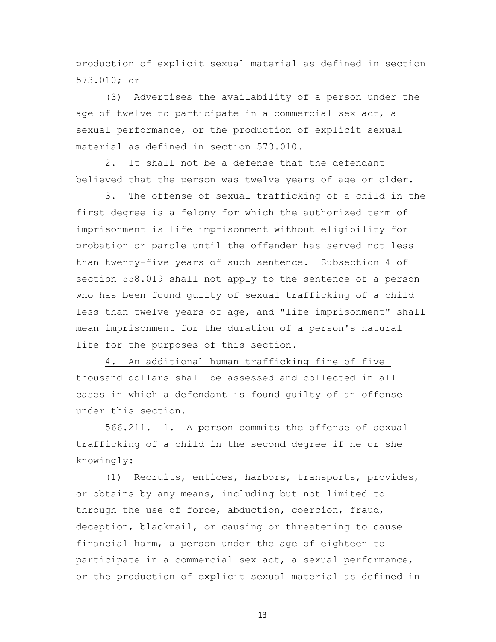production of explicit sexual material as defined in section 573.010; or

 (3) Advertises the availability of a person under the age of twelve to participate in a commercial sex act, a sexual performance, or the production of explicit sexual material as defined in section 573.010.

 2. It shall not be a defense that the defendant believed that the person was twelve years of age or older.

 3. The offense of sexual trafficking of a child in the first degree is a felony for which the authorized term of imprisonment is life imprisonment without eligibility for probation or parole until the offender has served not less than twenty-five years of such sentence. Subsection 4 of section 558.019 shall not apply to the sentence of a person who has been found guilty of sexual trafficking of a child less than twelve years of age, and "life imprisonment" shall mean imprisonment for the duration of a person's natural life for the purposes of this section.

 4. An additional human trafficking fine of five thousand dollars shall be assessed and collected in all cases in which a defendant is found guilty of an offense under this section.

 566.211. 1. A person commits the offense of sexual trafficking of a child in the second degree if he or she knowingly:

 (1) Recruits, entices, harbors, transports, provides, or obtains by any means, including but not limited to through the use of force, abduction, coercion, fraud, deception, blackmail, or causing or threatening to cause financial harm, a person under the age of eighteen to participate in a commercial sex act, a sexual performance, or the production of explicit sexual material as defined in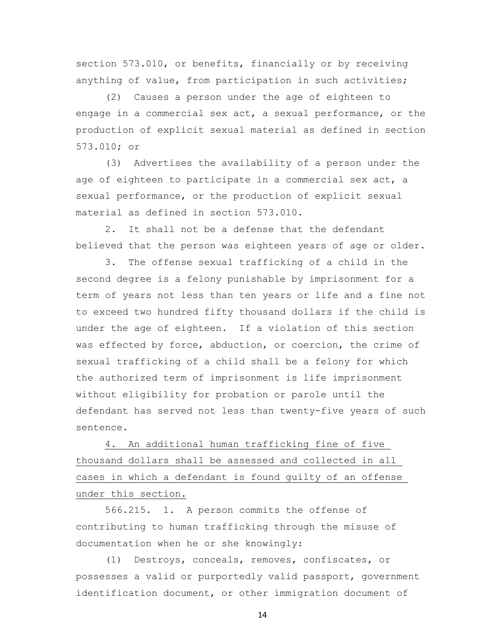section 573.010, or benefits, financially or by receiving anything of value, from participation in such activities;

 (2) Causes a person under the age of eighteen to engage in a commercial sex act, a sexual performance, or the production of explicit sexual material as defined in section 573.010; or

 (3) Advertises the availability of a person under the age of eighteen to participate in a commercial sex act, a sexual performance, or the production of explicit sexual material as defined in section 573.010.

 2. It shall not be a defense that the defendant believed that the person was eighteen years of age or older.

 3. The offense sexual trafficking of a child in the second degree is a felony punishable by imprisonment for a term of years not less than ten years or life and a fine not to exceed two hundred fifty thousand dollars if the child is under the age of eighteen. If a violation of this section was effected by force, abduction, or coercion, the crime of sexual trafficking of a child shall be a felony for which the authorized term of imprisonment is life imprisonment without eligibility for probation or parole until the defendant has served not less than twenty-five years of such sentence.

 4. An additional human trafficking fine of five thousand dollars shall be assessed and collected in all cases in which a defendant is found guilty of an offense under this section.

 566.215. 1. A person commits the offense of contributing to human trafficking through the misuse of documentation when he or she knowingly:

 (1) Destroys, conceals, removes, confiscates, or possesses a valid or purportedly valid passport, government identification document, or other immigration document of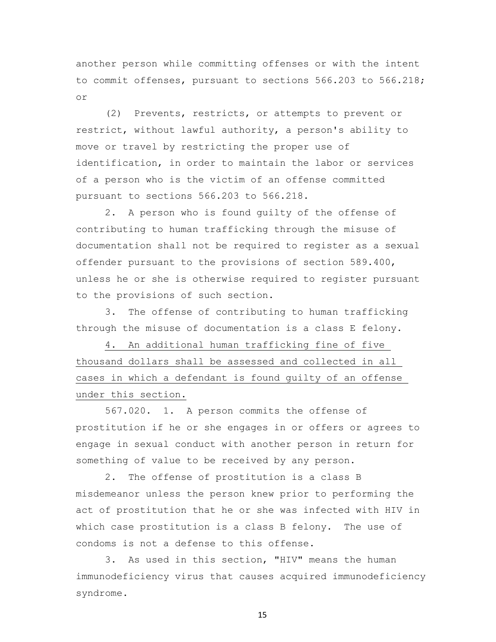another person while committing offenses or with the intent to commit offenses, pursuant to sections 566.203 to 566.218; or

 (2) Prevents, restricts, or attempts to prevent or restrict, without lawful authority, a person's ability to move or travel by restricting the proper use of identification, in order to maintain the labor or services of a person who is the victim of an offense committed pursuant to sections 566.203 to 566.218.

 2. A person who is found guilty of the offense of contributing to human trafficking through the misuse of documentation shall not be required to register as a sexual offender pursuant to the provisions of section 589.400, unless he or she is otherwise required to register pursuant to the provisions of such section.

 3. The offense of contributing to human trafficking through the misuse of documentation is a class E felony.

 4. An additional human trafficking fine of five thousand dollars shall be assessed and collected in all cases in which a defendant is found guilty of an offense under this section.

 567.020. 1. A person commits the offense of prostitution if he or she engages in or offers or agrees to engage in sexual conduct with another person in return for something of value to be received by any person.

 2. The offense of prostitution is a class B misdemeanor unless the person knew prior to performing the act of prostitution that he or she was infected with HIV in which case prostitution is a class B felony. The use of condoms is not a defense to this offense.

 3. As used in this section, "HIV" means the human immunodeficiency virus that causes acquired immunodeficiency syndrome.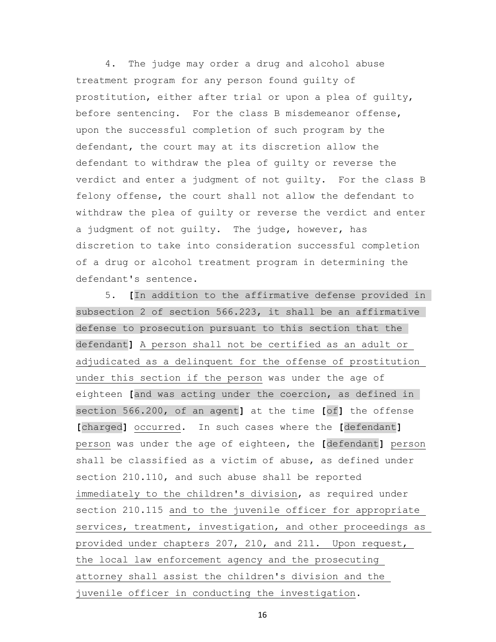4. The judge may order a drug and alcohol abuse treatment program for any person found guilty of prostitution, either after trial or upon a plea of guilty, before sentencing. For the class B misdemeanor offense, upon the successful completion of such program by the defendant, the court may at its discretion allow the defendant to withdraw the plea of guilty or reverse the verdict and enter a judgment of not guilty. For the class B felony offense, the court shall not allow the defendant to withdraw the plea of guilty or reverse the verdict and enter a judgment of not guilty. The judge, however, has discretion to take into consideration successful completion of a drug or alcohol treatment program in determining the defendant's sentence.

 5. **[**In addition to the affirmative defense provided in subsection 2 of section 566.223, it shall be an affirmative defense to prosecution pursuant to this section that the defendant**]** A person shall not be certified as an adult or adjudicated as a delinquent for the offense of prostitution under this section if the person was under the age of eighteen **[**and was acting under the coercion, as defined in section 566.200, of an agent**]** at the time **[**of**]** the offense **[**charged**]** occurred. In such cases where the **[**defendant**]** person was under the age of eighteen, the **[**defendant**]** person shall be classified as a victim of abuse, as defined under section 210.110, and such abuse shall be reported immediately to the children's division, as required under section 210.115 and to the juvenile officer for appropriate services, treatment, investigation, and other proceedings as provided under chapters 207, 210, and 211. Upon request, the local law enforcement agency and the prosecuting attorney shall assist the children's division and the juvenile officer in conducting the investigation.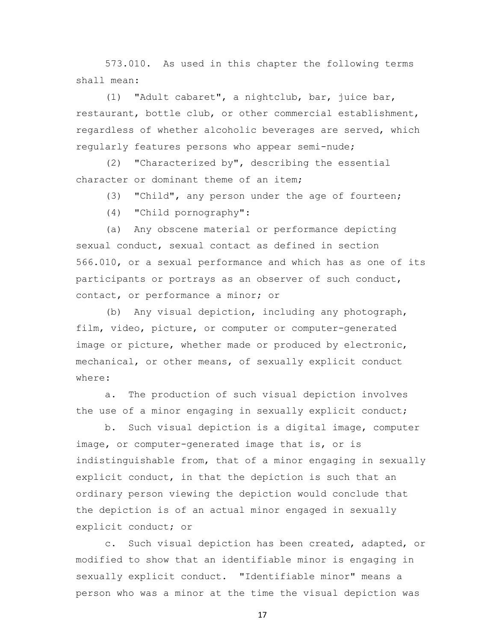573.010. As used in this chapter the following terms shall mean:

 (1) "Adult cabaret", a nightclub, bar, juice bar, restaurant, bottle club, or other commercial establishment, regardless of whether alcoholic beverages are served, which regularly features persons who appear semi-nude;

 (2) "Characterized by", describing the essential character or dominant theme of an item;

(3) "Child", any person under the age of fourteen;

(4) "Child pornography":

 (a) Any obscene material or performance depicting sexual conduct, sexual contact as defined in section 566.010, or a sexual performance and which has as one of its participants or portrays as an observer of such conduct, contact, or performance a minor; or

 (b) Any visual depiction, including any photograph, film, video, picture, or computer or computer-generated image or picture, whether made or produced by electronic, mechanical, or other means, of sexually explicit conduct where:

 a. The production of such visual depiction involves the use of a minor engaging in sexually explicit conduct;

 b. Such visual depiction is a digital image, computer image, or computer-generated image that is, or is indistinguishable from, that of a minor engaging in sexually explicit conduct, in that the depiction is such that an ordinary person viewing the depiction would conclude that the depiction is of an actual minor engaged in sexually explicit conduct; or

 c. Such visual depiction has been created, adapted, or modified to show that an identifiable minor is engaging in sexually explicit conduct. "Identifiable minor" means a person who was a minor at the time the visual depiction was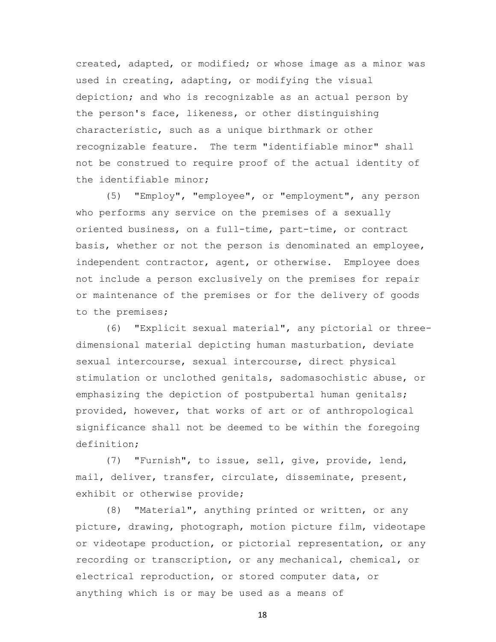created, adapted, or modified; or whose image as a minor was used in creating, adapting, or modifying the visual depiction; and who is recognizable as an actual person by the person's face, likeness, or other distinguishing characteristic, such as a unique birthmark or other recognizable feature. The term "identifiable minor" shall not be construed to require proof of the actual identity of the identifiable minor;

 (5) "Employ", "employee", or "employment", any person who performs any service on the premises of a sexually oriented business, on a full-time, part-time, or contract basis, whether or not the person is denominated an employee, independent contractor, agent, or otherwise. Employee does not include a person exclusively on the premises for repair or maintenance of the premises or for the delivery of goods to the premises;

 (6) "Explicit sexual material", any pictorial or threedimensional material depicting human masturbation, deviate sexual intercourse, sexual intercourse, direct physical stimulation or unclothed genitals, sadomasochistic abuse, or emphasizing the depiction of postpubertal human genitals; provided, however, that works of art or of anthropological significance shall not be deemed to be within the foregoing definition;

 (7) "Furnish", to issue, sell, give, provide, lend, mail, deliver, transfer, circulate, disseminate, present, exhibit or otherwise provide;

 (8) "Material", anything printed or written, or any picture, drawing, photograph, motion picture film, videotape or videotape production, or pictorial representation, or any recording or transcription, or any mechanical, chemical, or electrical reproduction, or stored computer data, or anything which is or may be used as a means of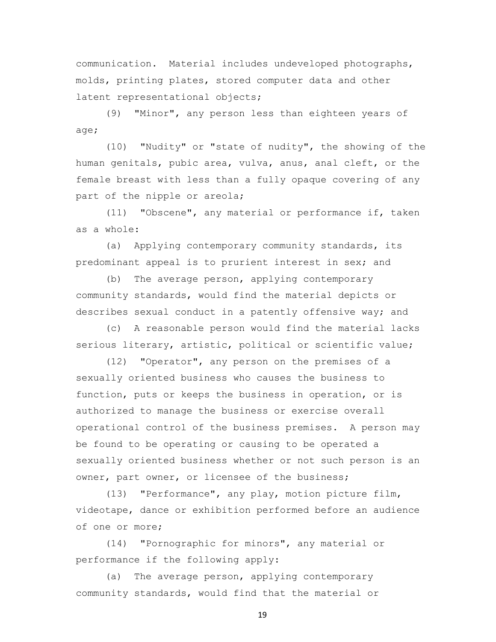communication. Material includes undeveloped photographs, molds, printing plates, stored computer data and other latent representational objects;

 (9) "Minor", any person less than eighteen years of age;

 (10) "Nudity" or "state of nudity", the showing of the human genitals, pubic area, vulva, anus, anal cleft, or the female breast with less than a fully opaque covering of any part of the nipple or areola;

 (11) "Obscene", any material or performance if, taken as a whole:

 (a) Applying contemporary community standards, its predominant appeal is to prurient interest in sex; and

 (b) The average person, applying contemporary community standards, would find the material depicts or describes sexual conduct in a patently offensive way; and

 (c) A reasonable person would find the material lacks serious literary, artistic, political or scientific value;

 (12) "Operator", any person on the premises of a sexually oriented business who causes the business to function, puts or keeps the business in operation, or is authorized to manage the business or exercise overall operational control of the business premises. A person may be found to be operating or causing to be operated a sexually oriented business whether or not such person is an owner, part owner, or licensee of the business;

 (13) "Performance", any play, motion picture film, videotape, dance or exhibition performed before an audience of one or more;

 (14) "Pornographic for minors", any material or performance if the following apply:

 (a) The average person, applying contemporary community standards, would find that the material or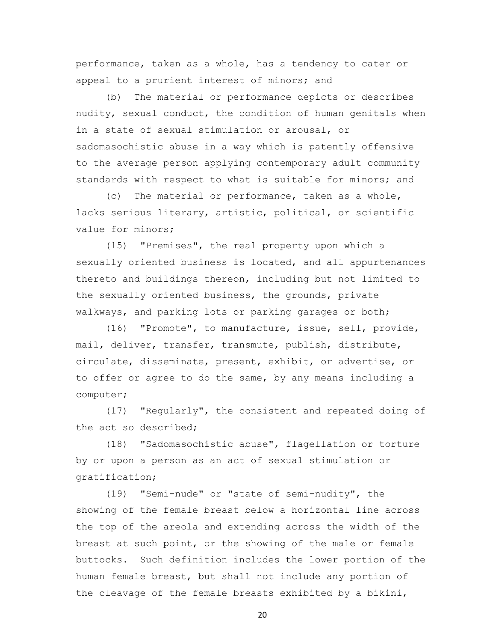performance, taken as a whole, has a tendency to cater or appeal to a prurient interest of minors; and

 (b) The material or performance depicts or describes nudity, sexual conduct, the condition of human genitals when in a state of sexual stimulation or arousal, or sadomasochistic abuse in a way which is patently offensive to the average person applying contemporary adult community standards with respect to what is suitable for minors; and

 (c) The material or performance, taken as a whole, lacks serious literary, artistic, political, or scientific value for minors;

 (15) "Premises", the real property upon which a sexually oriented business is located, and all appurtenances thereto and buildings thereon, including but not limited to the sexually oriented business, the grounds, private walkways, and parking lots or parking garages or both;

 (16) "Promote", to manufacture, issue, sell, provide, mail, deliver, transfer, transmute, publish, distribute, circulate, disseminate, present, exhibit, or advertise, or to offer or agree to do the same, by any means including a computer;

 (17) "Regularly", the consistent and repeated doing of the act so described;

 (18) "Sadomasochistic abuse", flagellation or torture by or upon a person as an act of sexual stimulation or gratification;

 (19) "Semi-nude" or "state of semi-nudity", the showing of the female breast below a horizontal line across the top of the areola and extending across the width of the breast at such point, or the showing of the male or female buttocks. Such definition includes the lower portion of the human female breast, but shall not include any portion of the cleavage of the female breasts exhibited by a bikini,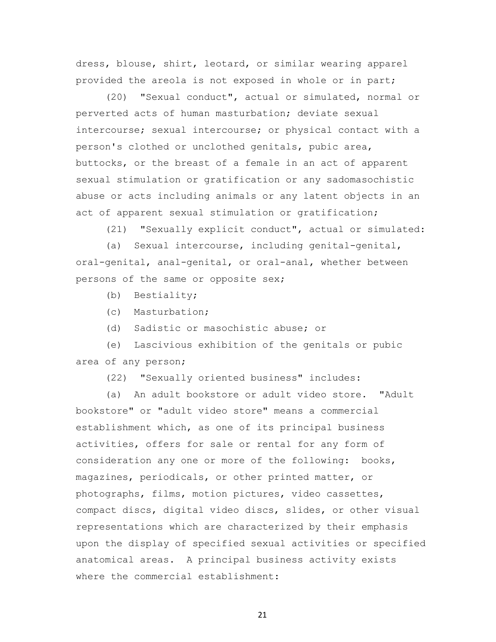dress, blouse, shirt, leotard, or similar wearing apparel provided the areola is not exposed in whole or in part;

 (20) "Sexual conduct", actual or simulated, normal or perverted acts of human masturbation; deviate sexual intercourse; sexual intercourse; or physical contact with a person's clothed or unclothed genitals, pubic area, buttocks, or the breast of a female in an act of apparent sexual stimulation or gratification or any sadomasochistic abuse or acts including animals or any latent objects in an act of apparent sexual stimulation or gratification;

(21) "Sexually explicit conduct", actual or simulated:

 (a) Sexual intercourse, including genital-genital, oral-genital, anal-genital, or oral-anal, whether between persons of the same or opposite sex;

(b) Bestiality;

- (c) Masturbation;
- (d) Sadistic or masochistic abuse; or

 (e) Lascivious exhibition of the genitals or pubic area of any person;

(22) "Sexually oriented business" includes:

 (a) An adult bookstore or adult video store. "Adult bookstore" or "adult video store" means a commercial establishment which, as one of its principal business activities, offers for sale or rental for any form of consideration any one or more of the following: books, magazines, periodicals, or other printed matter, or photographs, films, motion pictures, video cassettes, compact discs, digital video discs, slides, or other visual representations which are characterized by their emphasis upon the display of specified sexual activities or specified anatomical areas. A principal business activity exists where the commercial establishment: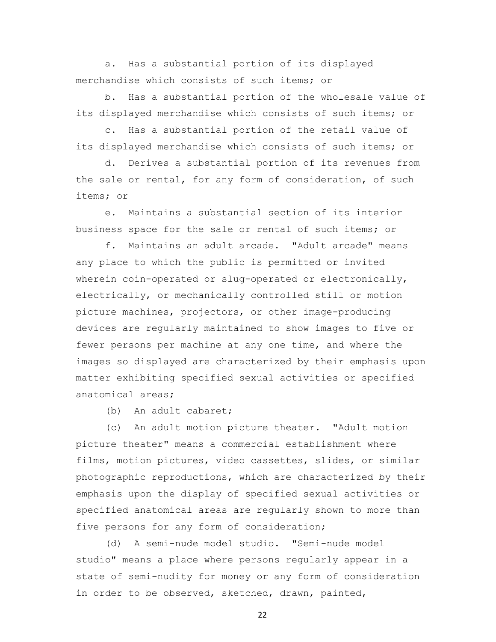a. Has a substantial portion of its displayed merchandise which consists of such items; or

 b. Has a substantial portion of the wholesale value of its displayed merchandise which consists of such items; or

 c. Has a substantial portion of the retail value of its displayed merchandise which consists of such items; or

 d. Derives a substantial portion of its revenues from the sale or rental, for any form of consideration, of such items; or

 e. Maintains a substantial section of its interior business space for the sale or rental of such items; or

 f. Maintains an adult arcade. "Adult arcade" means any place to which the public is permitted or invited wherein coin-operated or slug-operated or electronically, electrically, or mechanically controlled still or motion picture machines, projectors, or other image-producing devices are regularly maintained to show images to five or fewer persons per machine at any one time, and where the images so displayed are characterized by their emphasis upon matter exhibiting specified sexual activities or specified anatomical areas;

(b) An adult cabaret;

 (c) An adult motion picture theater. "Adult motion picture theater" means a commercial establishment where films, motion pictures, video cassettes, slides, or similar photographic reproductions, which are characterized by their emphasis upon the display of specified sexual activities or specified anatomical areas are regularly shown to more than five persons for any form of consideration;

 (d) A semi-nude model studio. "Semi-nude model studio" means a place where persons regularly appear in a state of semi-nudity for money or any form of consideration in order to be observed, sketched, drawn, painted,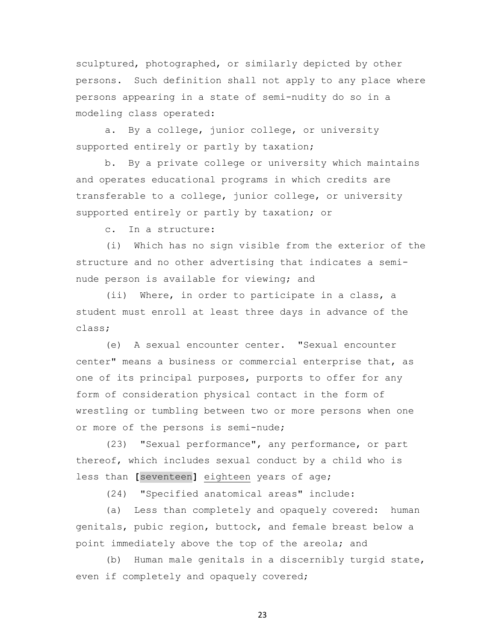sculptured, photographed, or similarly depicted by other persons. Such definition shall not apply to any place where persons appearing in a state of semi-nudity do so in a modeling class operated:

 a. By a college, junior college, or university supported entirely or partly by taxation;

 b. By a private college or university which maintains and operates educational programs in which credits are transferable to a college, junior college, or university supported entirely or partly by taxation; or

c. In a structure:

 (i) Which has no sign visible from the exterior of the structure and no other advertising that indicates a seminude person is available for viewing; and

 (ii) Where, in order to participate in a class, a student must enroll at least three days in advance of the class;

 (e) A sexual encounter center. "Sexual encounter center" means a business or commercial enterprise that, as one of its principal purposes, purports to offer for any form of consideration physical contact in the form of wrestling or tumbling between two or more persons when one or more of the persons is semi-nude;

 (23) "Sexual performance", any performance, or part thereof, which includes sexual conduct by a child who is less than **[**seventeen**]** eighteen years of age;

(24) "Specified anatomical areas" include:

 (a) Less than completely and opaquely covered: human genitals, pubic region, buttock, and female breast below a point immediately above the top of the areola; and

 (b) Human male genitals in a discernibly turgid state, even if completely and opaquely covered;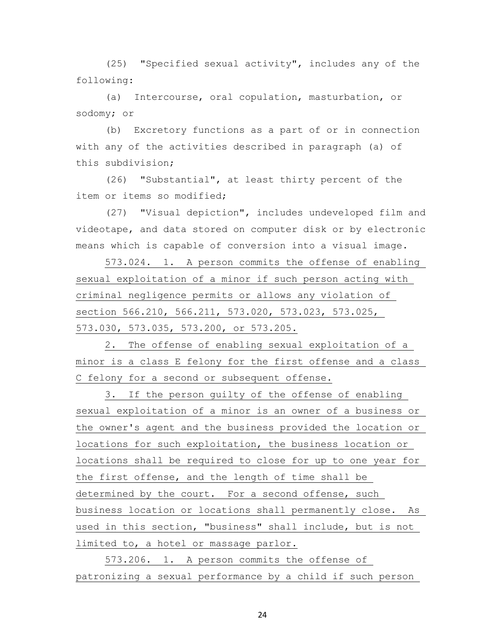(25) "Specified sexual activity", includes any of the following:

 (a) Intercourse, oral copulation, masturbation, or sodomy; or

 (b) Excretory functions as a part of or in connection with any of the activities described in paragraph (a) of this subdivision;

 (26) "Substantial", at least thirty percent of the item or items so modified;

 (27) "Visual depiction", includes undeveloped film and videotape, and data stored on computer disk or by electronic means which is capable of conversion into a visual image.

 573.024. 1. A person commits the offense of enabling sexual exploitation of a minor if such person acting with criminal negligence permits or allows any violation of section 566.210, 566.211, 573.020, 573.023, 573.025, 573.030, 573.035, 573.200, or 573.205.

 2. The offense of enabling sexual exploitation of a minor is a class E felony for the first offense and a class C felony for a second or subsequent offense.

 3. If the person guilty of the offense of enabling sexual exploitation of a minor is an owner of a business or the owner's agent and the business provided the location or locations for such exploitation, the business location or locations shall be required to close for up to one year for the first offense, and the length of time shall be determined by the court. For a second offense, such business location or locations shall permanently close. As used in this section, "business" shall include, but is not limited to, a hotel or massage parlor.

 573.206. 1. A person commits the offense of patronizing a sexual performance by a child if such person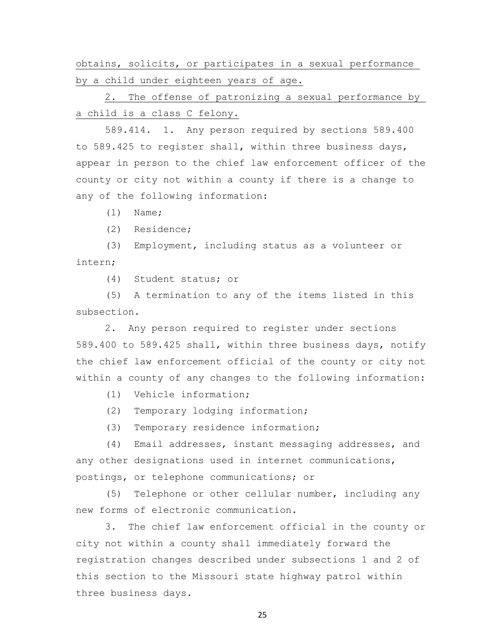obtains, solicits, or participates in a sexual performance by a child under eighteen years of age.

 2. The offense of patronizing a sexual performance by a child is a class C felony.

 589.414. 1. Any person required by sections 589.400 to 589.425 to register shall, within three business days, appear in person to the chief law enforcement officer of the county or city not within a county if there is a change to any of the following information:

(1) Name;

(2) Residence;

 (3) Employment, including status as a volunteer or intern;

(4) Student status; or

 (5) A termination to any of the items listed in this subsection.

 2. Any person required to register under sections 589.400 to 589.425 shall, within three business days, notify the chief law enforcement official of the county or city not within a county of any changes to the following information:

(1) Vehicle information;

(2) Temporary lodging information;

(3) Temporary residence information;

 (4) Email addresses, instant messaging addresses, and any other designations used in internet communications, postings, or telephone communications; or

 (5) Telephone or other cellular number, including any new forms of electronic communication.

 3. The chief law enforcement official in the county or city not within a county shall immediately forward the registration changes described under subsections 1 and 2 of this section to the Missouri state highway patrol within three business days.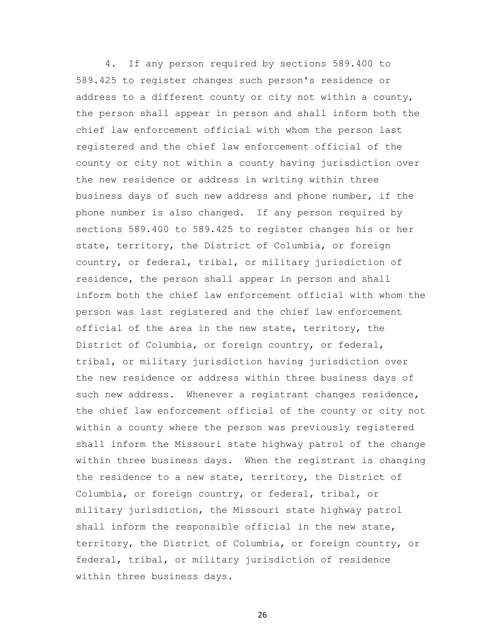4. If any person required by sections 589.400 to 589.425 to register changes such person's residence or address to a different county or city not within a county, the person shall appear in person and shall inform both the chief law enforcement official with whom the person last registered and the chief law enforcement official of the county or city not within a county having jurisdiction over the new residence or address in writing within three business days of such new address and phone number, if the phone number is also changed. If any person required by sections 589.400 to 589.425 to register changes his or her state, territory, the District of Columbia, or foreign country, or federal, tribal, or military jurisdiction of residence, the person shall appear in person and shall inform both the chief law enforcement official with whom the person was last registered and the chief law enforcement official of the area in the new state, territory, the District of Columbia, or foreign country, or federal, tribal, or military jurisdiction having jurisdiction over the new residence or address within three business days of such new address. Whenever a registrant changes residence, the chief law enforcement official of the county or city not within a county where the person was previously registered shall inform the Missouri state highway patrol of the change within three business days. When the registrant is changing the residence to a new state, territory, the District of Columbia, or foreign country, or federal, tribal, or military jurisdiction, the Missouri state highway patrol shall inform the responsible official in the new state, territory, the District of Columbia, or foreign country, or federal, tribal, or military jurisdiction of residence within three business days.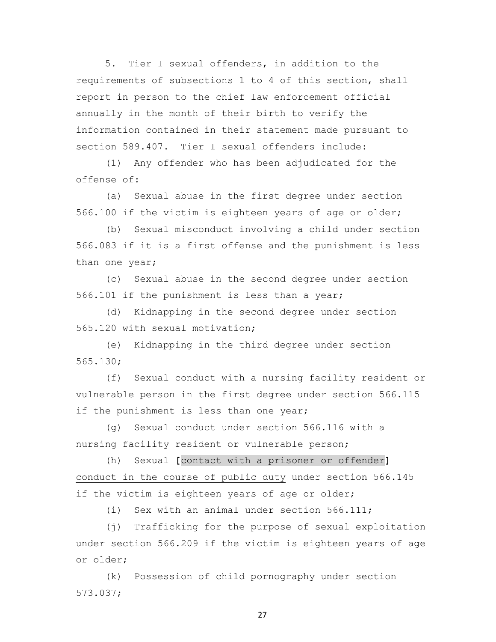5. Tier I sexual offenders, in addition to the requirements of subsections 1 to 4 of this section, shall report in person to the chief law enforcement official annually in the month of their birth to verify the information contained in their statement made pursuant to section 589.407. Tier I sexual offenders include:

 (1) Any offender who has been adjudicated for the offense of:

 (a) Sexual abuse in the first degree under section 566.100 if the victim is eighteen years of age or older;

 (b) Sexual misconduct involving a child under section 566.083 if it is a first offense and the punishment is less than one year;

 (c) Sexual abuse in the second degree under section 566.101 if the punishment is less than a year;

 (d) Kidnapping in the second degree under section 565.120 with sexual motivation;

 (e) Kidnapping in the third degree under section 565.130;

 (f) Sexual conduct with a nursing facility resident or vulnerable person in the first degree under section 566.115 if the punishment is less than one year;

 (g) Sexual conduct under section 566.116 with a nursing facility resident or vulnerable person;

 (h) Sexual **[**contact with a prisoner or offender**]** conduct in the course of public duty under section 566.145 if the victim is eighteen years of age or older;

(i) Sex with an animal under section 566.111;

 (j) Trafficking for the purpose of sexual exploitation under section 566.209 if the victim is eighteen years of age or older;

 (k) Possession of child pornography under section 573.037;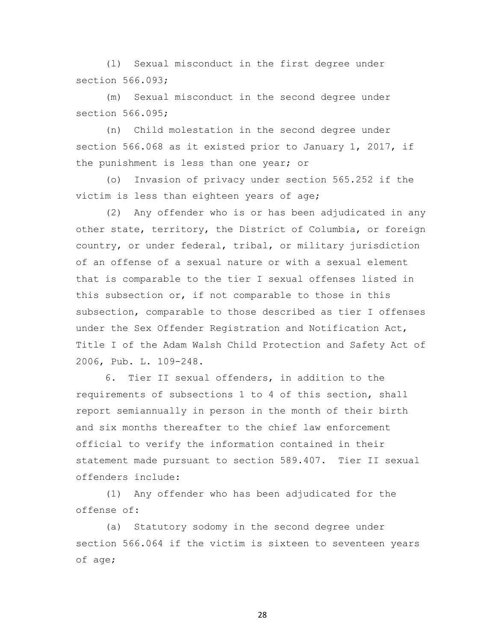(l) Sexual misconduct in the first degree under section 566.093;

 (m) Sexual misconduct in the second degree under section 566.095;

 (n) Child molestation in the second degree under section 566.068 as it existed prior to January 1, 2017, if the punishment is less than one year; or

 (o) Invasion of privacy under section 565.252 if the victim is less than eighteen years of age;

 (2) Any offender who is or has been adjudicated in any other state, territory, the District of Columbia, or foreign country, or under federal, tribal, or military jurisdiction of an offense of a sexual nature or with a sexual element that is comparable to the tier I sexual offenses listed in this subsection or, if not comparable to those in this subsection, comparable to those described as tier I offenses under the Sex Offender Registration and Notification Act, Title I of the Adam Walsh Child Protection and Safety Act of 2006, Pub. L. 109-248.

 6. Tier II sexual offenders, in addition to the requirements of subsections 1 to 4 of this section, shall report semiannually in person in the month of their birth and six months thereafter to the chief law enforcement official to verify the information contained in their statement made pursuant to section 589.407. Tier II sexual offenders include:

 (1) Any offender who has been adjudicated for the offense of:

 (a) Statutory sodomy in the second degree under section 566.064 if the victim is sixteen to seventeen years of age;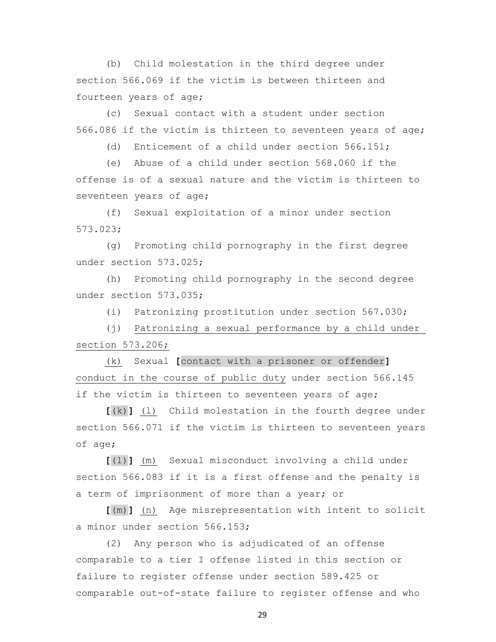(b) Child molestation in the third degree under section 566.069 if the victim is between thirteen and fourteen years of age;

 (c) Sexual contact with a student under section 566.086 if the victim is thirteen to seventeen years of age;

(d) Enticement of a child under section 566.151;

 (e) Abuse of a child under section 568.060 if the offense is of a sexual nature and the victim is thirteen to seventeen years of age;

 (f) Sexual exploitation of a minor under section 573.023;

 (g) Promoting child pornography in the first degree under section 573.025;

 (h) Promoting child pornography in the second degree under section 573.035;

(i) Patronizing prostitution under section 567.030;

 (j) Patronizing a sexual performance by a child under section 573.206;

 (k) Sexual **[**contact with a prisoner or offender**]** conduct in the course of public duty under section 566.145 if the victim is thirteen to seventeen years of age;

 **[**(k)**]** (l) Child molestation in the fourth degree under section 566.071 if the victim is thirteen to seventeen years of age;

 **[**(l)**]** (m) Sexual misconduct involving a child under section 566.083 if it is a first offense and the penalty is a term of imprisonment of more than a year; or

 **[**(m)**]** (n) Age misrepresentation with intent to solicit a minor under section 566.153;

 (2) Any person who is adjudicated of an offense comparable to a tier I offense listed in this section or failure to register offense under section 589.425 or comparable out-of-state failure to register offense and who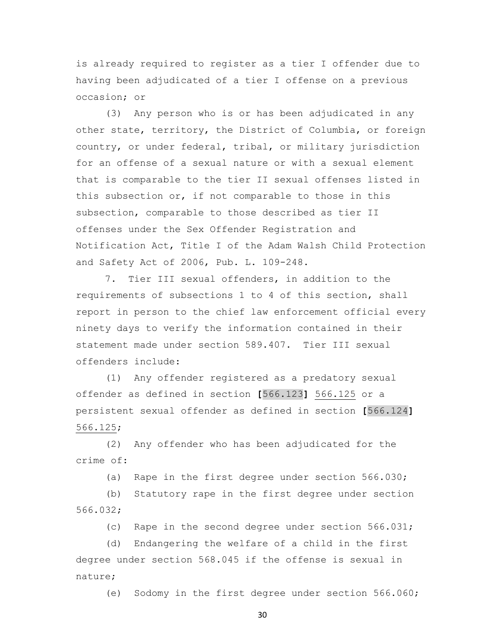is already required to register as a tier I offender due to having been adjudicated of a tier I offense on a previous occasion; or

 (3) Any person who is or has been adjudicated in any other state, territory, the District of Columbia, or foreign country, or under federal, tribal, or military jurisdiction for an offense of a sexual nature or with a sexual element that is comparable to the tier II sexual offenses listed in this subsection or, if not comparable to those in this subsection, comparable to those described as tier II offenses under the Sex Offender Registration and Notification Act, Title I of the Adam Walsh Child Protection and Safety Act of 2006, Pub. L. 109-248.

 7. Tier III sexual offenders, in addition to the requirements of subsections 1 to 4 of this section, shall report in person to the chief law enforcement official every ninety days to verify the information contained in their statement made under section 589.407. Tier III sexual offenders include:

 (1) Any offender registered as a predatory sexual offender as defined in section **[**566.123**]** 566.125 or a persistent sexual offender as defined in section **[**566.124**]** 566.125;

 (2) Any offender who has been adjudicated for the crime of:

(a) Rape in the first degree under section 566.030;

 (b) Statutory rape in the first degree under section 566.032;

(c) Rape in the second degree under section 566.031;

 (d) Endangering the welfare of a child in the first degree under section 568.045 if the offense is sexual in nature;

(e) Sodomy in the first degree under section 566.060;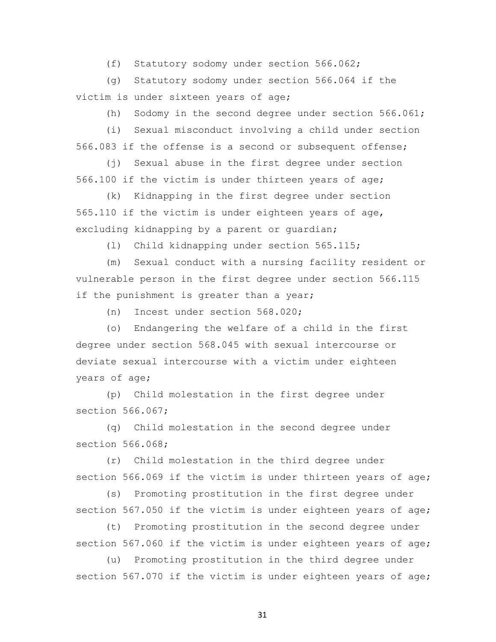(f) Statutory sodomy under section 566.062;

 (g) Statutory sodomy under section 566.064 if the victim is under sixteen years of age;

(h) Sodomy in the second degree under section 566.061;

 (i) Sexual misconduct involving a child under section 566.083 if the offense is a second or subsequent offense;

 (j) Sexual abuse in the first degree under section 566.100 if the victim is under thirteen years of age;

 (k) Kidnapping in the first degree under section 565.110 if the victim is under eighteen years of age, excluding kidnapping by a parent or guardian;

(l) Child kidnapping under section 565.115;

 (m) Sexual conduct with a nursing facility resident or vulnerable person in the first degree under section 566.115 if the punishment is greater than a year;

(n) Incest under section 568.020;

 (o) Endangering the welfare of a child in the first degree under section 568.045 with sexual intercourse or deviate sexual intercourse with a victim under eighteen years of age;

 (p) Child molestation in the first degree under section 566.067;

 (q) Child molestation in the second degree under section 566.068;

 (r) Child molestation in the third degree under section 566.069 if the victim is under thirteen years of age;

 (s) Promoting prostitution in the first degree under section 567.050 if the victim is under eighteen years of age;

 (t) Promoting prostitution in the second degree under section 567.060 if the victim is under eighteen years of age;

 (u) Promoting prostitution in the third degree under section 567.070 if the victim is under eighteen years of age;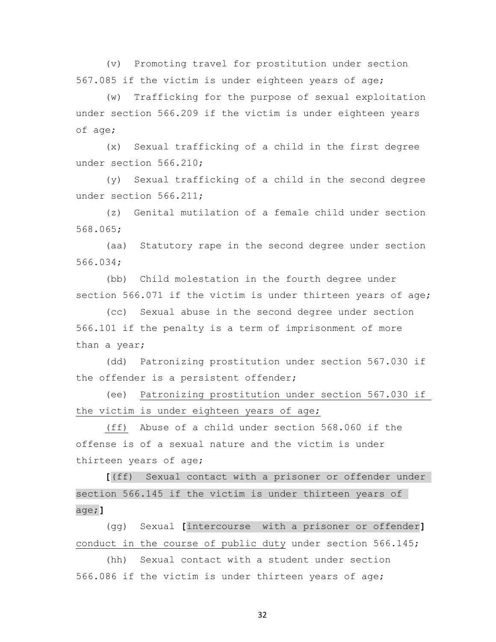(v) Promoting travel for prostitution under section 567.085 if the victim is under eighteen years of age;

 (w) Trafficking for the purpose of sexual exploitation under section 566.209 if the victim is under eighteen years of age;

 (x) Sexual trafficking of a child in the first degree under section 566.210;

 (y) Sexual trafficking of a child in the second degree under section 566.211;

 (z) Genital mutilation of a female child under section 568.065;

 (aa) Statutory rape in the second degree under section 566.034;

 (bb) Child molestation in the fourth degree under section 566.071 if the victim is under thirteen years of age;

 (cc) Sexual abuse in the second degree under section 566.101 if the penalty is a term of imprisonment of more than a year;

 (dd) Patronizing prostitution under section 567.030 if the offender is a persistent offender;

 (ee) Patronizing prostitution under section 567.030 if the victim is under eighteen years of age;

 (ff) Abuse of a child under section 568.060 if the offense is of a sexual nature and the victim is under thirteen years of age;

 **[**(ff) Sexual contact with a prisoner or offender under section 566.145 if the victim is under thirteen years of age;**]**

 (gg) Sexual **[**intercourse with a prisoner or offender**]** conduct in the course of public duty under section 566.145;

 (hh) Sexual contact with a student under section 566.086 if the victim is under thirteen years of age;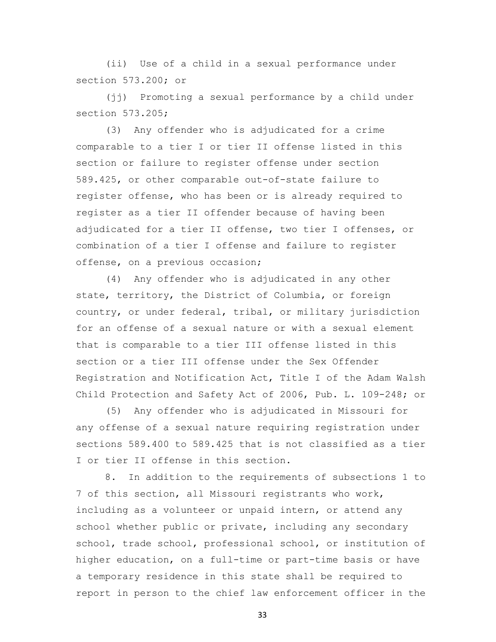(ii) Use of a child in a sexual performance under section 573.200; or

 (jj) Promoting a sexual performance by a child under section 573.205;

 (3) Any offender who is adjudicated for a crime comparable to a tier I or tier II offense listed in this section or failure to register offense under section 589.425, or other comparable out-of-state failure to register offense, who has been or is already required to register as a tier II offender because of having been adjudicated for a tier II offense, two tier I offenses, or combination of a tier I offense and failure to register offense, on a previous occasion;

 (4) Any offender who is adjudicated in any other state, territory, the District of Columbia, or foreign country, or under federal, tribal, or military jurisdiction for an offense of a sexual nature or with a sexual element that is comparable to a tier III offense listed in this section or a tier III offense under the Sex Offender Registration and Notification Act, Title I of the Adam Walsh Child Protection and Safety Act of 2006, Pub. L. 109-248; or

 (5) Any offender who is adjudicated in Missouri for any offense of a sexual nature requiring registration under sections 589.400 to 589.425 that is not classified as a tier I or tier II offense in this section.

 8. In addition to the requirements of subsections 1 to 7 of this section, all Missouri registrants who work, including as a volunteer or unpaid intern, or attend any school whether public or private, including any secondary school, trade school, professional school, or institution of higher education, on a full-time or part-time basis or have a temporary residence in this state shall be required to report in person to the chief law enforcement officer in the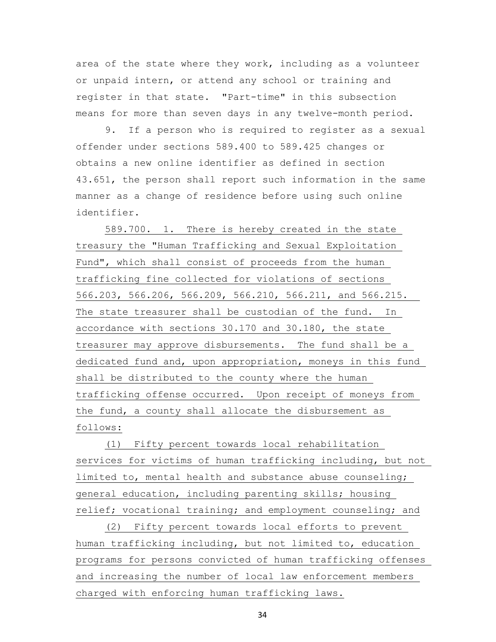area of the state where they work, including as a volunteer or unpaid intern, or attend any school or training and register in that state. "Part-time" in this subsection means for more than seven days in any twelve-month period.

 9. If a person who is required to register as a sexual offender under sections 589.400 to 589.425 changes or obtains a new online identifier as defined in section 43.651, the person shall report such information in the same manner as a change of residence before using such online identifier.

 589.700. 1. There is hereby created in the state treasury the "Human Trafficking and Sexual Exploitation Fund", which shall consist of proceeds from the human trafficking fine collected for violations of sections 566.203, 566.206, 566.209, 566.210, 566.211, and 566.215. The state treasurer shall be custodian of the fund. In accordance with sections 30.170 and 30.180, the state treasurer may approve disbursements. The fund shall be a dedicated fund and, upon appropriation, moneys in this fund shall be distributed to the county where the human trafficking offense occurred. Upon receipt of moneys from the fund, a county shall allocate the disbursement as follows:

 (1) Fifty percent towards local rehabilitation services for victims of human trafficking including, but not limited to, mental health and substance abuse counseling; general education, including parenting skills; housing relief; vocational training; and employment counseling; and

 (2) Fifty percent towards local efforts to prevent human trafficking including, but not limited to, education programs for persons convicted of human trafficking offenses and increasing the number of local law enforcement members charged with enforcing human trafficking laws.